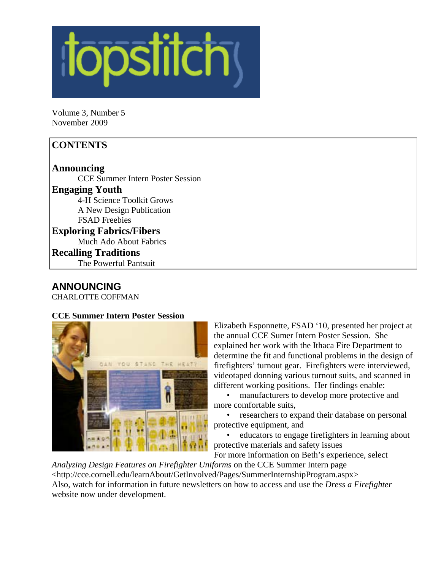

Volume 3, Number 5 November 2009

## **CONTENTS**

**Announcing**  CCE Summer Intern Poster Session **Engaging Youth**  4-H Science Toolkit Grows A New Design Publication FSAD Freebies **Exploring Fabrics/Fibers**  Much Ado About Fabrics **Recalling Traditions** 

The Powerful Pantsuit

### **ANNOUNCING**

CHARLOTTE COFFMAN

### **CCE Summer Intern Poster Session**



Elizabeth Esponnette, FSAD '10, presented her project at the annual CCE Sumer Intern Poster Session. She explained her work with the Ithaca Fire Department to determine the fit and functional problems in the design of firefighters' turnout gear. Firefighters were interviewed, videotaped donning various turnout suits, and scanned in different working positions. Her findings enable:

• manufacturers to develop more protective and more comfortable suits,

• researchers to expand their database on personal protective equipment, and

• educators to engage firefighters in learning about protective materials and safety issues

For more information on Beth's experience, select

*Analyzing Design Features on Firefighter Uniforms* on the CCE Summer Intern page <http://cce.cornell.edu/learnAbout/GetInvolved/Pages/SummerInternshipProgram.aspx> Also, watch for information in future newsletters on how to access and use the *Dress a Firefighter*  website now under development.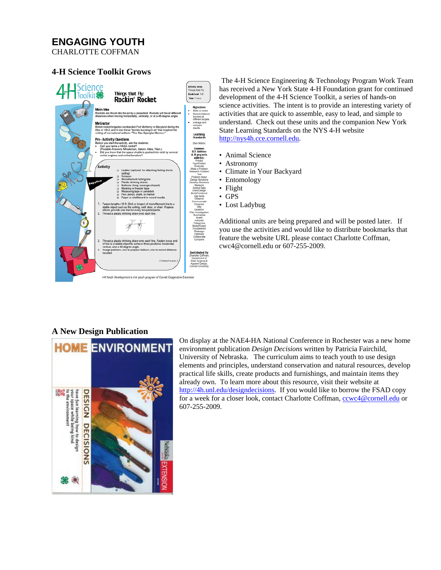## **ENGAGING YOUTH**

CHARLOTTE COFFMAN

#### **4-H Science Toolkit Grows**



The 4-H Science Engineering & Technology Program Work Team has received a New York State 4-H Foundation grant for continued development of the 4-H Science Toolkit, a series of hands-on science activities. The intent is to provide an interesting variety of activities that are quick to assemble, easy to lead, and simple to understand. Check out these units and the companion New York State Learning Standards on the NYS 4-H website http://nys4h.cce.cornell.edu.

- Animal Science
- Astronomy
- Climate in Your Backyard
- Entomology
- Flight
- GPS
- Lost Ladybug

Additional units are being prepared and will be posted later. If you use the activities and would like to distribute bookmarks that feature the website URL please contact Charlotte Coffman, cwc4@cornell.edu or 607-255-2009.

### **A New Design Publication**



On display at the NAE4-HA National Conference in Rochester was a new home environment publication *Design Decisions* written by Patricia Fairchild, University of Nebraska. The curriculum aims to teach youth to use design elements and principles, understand conservation and natural resources, develop practical life skills, create products and furnishings, and maintain items they already own. To learn more about this resource, visit their website at http://4h.unl.edu/designdecisions. If you would like to borrow the FSAD copy for a week for a closer look, contact Charlotte Coffman, ccwc4@cornell.edu or 607-255-2009.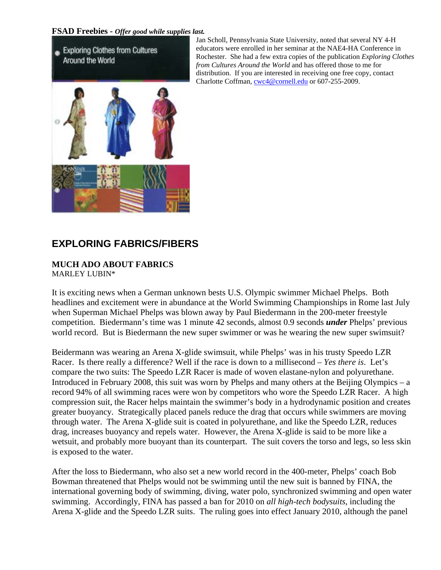### **FSAD Freebies -** *Offer good while supplies last.*

Exploring Clothes from Cultures Around the World

Jan Scholl, Pennsylvania State University, noted that several NY 4-H educators were enrolled in her seminar at the NAE4-HA Conference in Rochester. She had a few extra copies of the publication *Exploring Clothes from Cultures Around the World* and has offered those to me for distribution. If you are interested in receiving one free copy, contact Charlotte Coffman, cwc4@cornell.edu or 607-255-2009.



# **EXPLORING FABRICS/FIBERS**

# **MUCH ADO ABOUT FABRICS**

MARLEY LUBIN\*

It is exciting news when a German unknown bests U.S. Olympic swimmer Michael Phelps. Both headlines and excitement were in abundance at the World Swimming Championships in Rome last July when Superman Michael Phelps was blown away by Paul Biedermann in the 200-meter freestyle competition. Biedermann's time was 1 minute 42 seconds, almost 0.9 seconds *under* Phelps' previous world record. But is Biedermann the new super swimmer or was he wearing the new super swimsuit?

Beidermann was wearing an Arena X-glide swimsuit, while Phelps' was in his trusty Speedo LZR Racer. Is there really a difference? Well if the race is down to a millisecond – *Yes there is*. Let's compare the two suits: The Speedo LZR Racer is made of woven elastane-nylon and polyurethane. Introduced in February 2008, this suit was worn by Phelps and many others at the Beijing Olympics – a record 94% of all swimming races were won by competitors who wore the Speedo LZR Racer. A high compression suit, the Racer helps maintain the swimmer's body in a hydrodynamic position and creates greater buoyancy. Strategically placed panels reduce the drag that occurs while swimmers are moving through water. The Arena X-glide suit is coated in polyurethane, and like the Speedo LZR, reduces drag, increases buoyancy and repels water. However, the Arena X-glide is said to be more like a wetsuit, and probably more buoyant than its counterpart. The suit covers the torso and legs, so less skin is exposed to the water.

After the loss to Biedermann, who also set a new world record in the 400-meter, Phelps' coach Bob Bowman threatened that Phelps would not be swimming until the new suit is banned by FINA, the international governing body of swimming, diving, water polo, synchronized swimming and open water swimming. Accordingly, FINA has passed a ban for 2010 on *all high-tech bodysuits*, including the Arena X-glide and the Speedo LZR suits. The ruling goes into effect January 2010, although the panel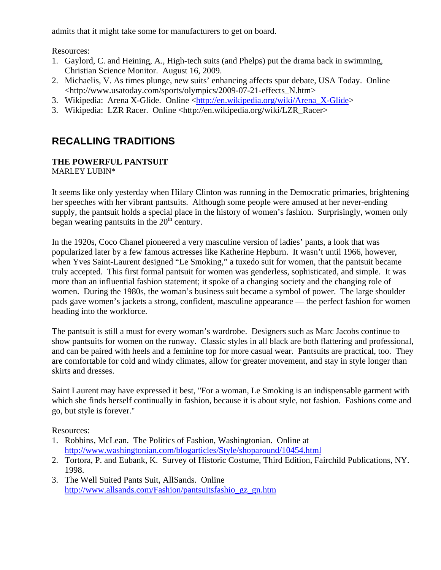admits that it might take some for manufacturers to get on board.

Resources:

- 1. Gaylord, C. and Heining, A., High-tech suits (and Phelps) put the drama back in swimming, Christian Science Monitor. August 16, 2009.
- 2. Michaelis, V. As times plunge, new suits' enhancing affects spur debate, USA Today. Online <http://www.usatoday.com/sports/olympics/2009-07-21-effects\_N.htm>
- 3. Wikipedia: Arena X-Glide. Online <http://en.wikipedia.org/wiki/Arena\_X-Glide>
- 3. Wikipedia: LZR Racer. Online <http://en.wikipedia.org/wiki/LZR\_Racer>

# **RECALLING TRADITIONS**

#### **THE POWERFUL PANTSUIT**  MARLEY LUBIN\*

It seems like only yesterday when Hilary Clinton was running in the Democratic primaries, brightening her speeches with her vibrant pantsuits. Although some people were amused at her never-ending supply, the pantsuit holds a special place in the history of women's fashion. Surprisingly, women only began wearing pantsuits in the  $20<sup>th</sup>$  century.

In the 1920s, Coco Chanel pioneered a very masculine version of ladies' pants, a look that was popularized later by a few famous actresses like Katherine Hepburn. It wasn't until 1966, however, when Yves Saint-Laurent designed "Le Smoking," a tuxedo suit for women, that the pantsuit became truly accepted. This first formal pantsuit for women was genderless, sophisticated, and simple. It was more than an influential fashion statement; it spoke of a changing society and the changing role of women. During the 1980s, the woman's business suit became a symbol of power. The large shoulder pads gave women's jackets a strong, confident, masculine appearance — the perfect fashion for women heading into the workforce.

The pantsuit is still a must for every woman's wardrobe. Designers such as Marc Jacobs continue to show pantsuits for women on the runway. Classic styles in all black are both flattering and professional, and can be paired with heels and a feminine top for more casual wear. Pantsuits are practical, too. They are comfortable for cold and windy climates, allow for greater movement, and stay in style longer than skirts and dresses.

Saint Laurent may have expressed it best, "For a woman, Le Smoking is an indispensable garment with which she finds herself continually in fashion, because it is about style, not fashion. Fashions come and go, but style is forever."

Resources:

- 1. Robbins, McLean. The Politics of Fashion, Washingtonian. Online at http://www.washingtonian.com/blogarticles/Style/shoparound/10454.html
- 2. Tortora, P. and Eubank, K. Survey of Historic Costume, Third Edition, Fairchild Publications, NY. 1998.
- 3. The Well Suited Pants Suit, AllSands. Online http://www.allsands.com/Fashion/pantsuitsfashio\_gz\_gn.htm